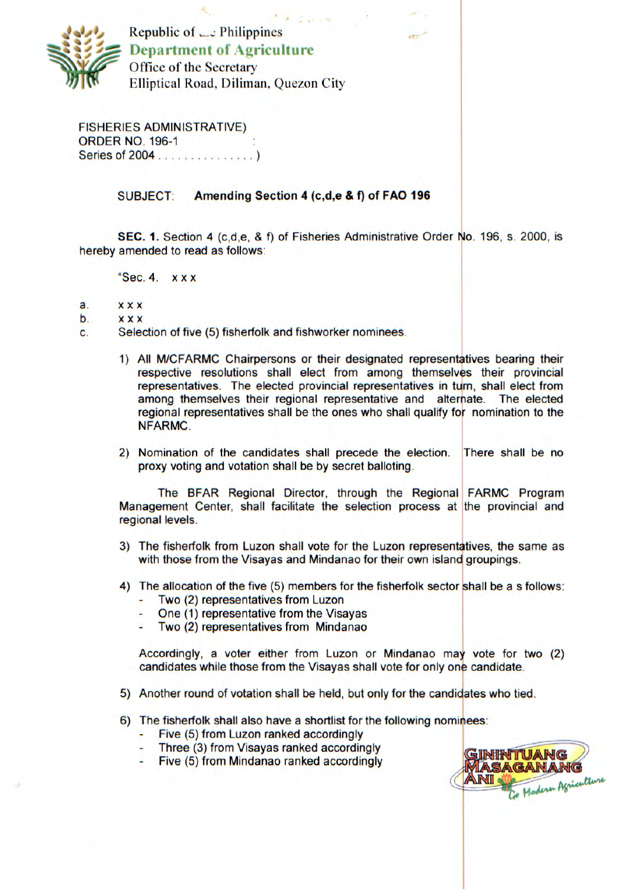

Republic of  $\Box$ : Philippines **Ne Department of Agriculture**  Office of the Secretary Elliptical Road, Diliman, Quezon City

FISHERIES ADMINISTRATIVE) ORDER NO. 196-1 Series of 2004 . . . .

## SUBJECT: **Amending Section 4 (c,d,e** & **f) of FAO 196**

**SEC. 1.** Section 4 (c,d,e, & f) of Fisheries Administrative Order No. 196, S. 2000. is hereby amended to read as follows:

"Sec. 4. x x x

- a. x x x
- b. x x x
- C. Selection of five (5) fisherfolk and fishworker nominees.
	- 1) All M/CFARMC Chairpersons or their designated representatives bearing their respective resolutions shall elect from among themselves their provincial representatives. The elected provincial representatives in turn, shall elect from among themselves their regional representative and alternate. The elected regional representatives shall be the ones who shall qualify for nomination to the NFARMC.
	- 2) Nomination of the candidates shall precede the election. There shall be no proxy voting and votation shall be by secret balloting.

The BEAR Regional Director, through the Regional FARMC Program Management Center, shall facilitate the selection process at the provincial and regional levels.

- 3) The fisherfolk from Luzon shall vote for the Luzon representatives, the same as with those from the Visayas and Mindanao for their own island groupings.
- 4) The allocation of the five (5) members for the fisherfolk sector shall be a s follows:
	- Two (2) representatives from Luzon
	- One (1) representative from the Visayas
	- Two (2) representatives from Mindanao

Accordingly, a voter either from Luzon or Mindanao may vote for two (2) candidates while those from the Visayas shall vote for only one candidate.

- 5) Another round of votation shall be held, but only for the candidates who tied.
- 6) The fisherfolk shall also have a shortlist for the following nominees:
	- Five (5) from Luzon ranked accordingly
	- Three (3) from Visayas ranked accordingly
	- Five (5) from Mindanao ranked accordingly